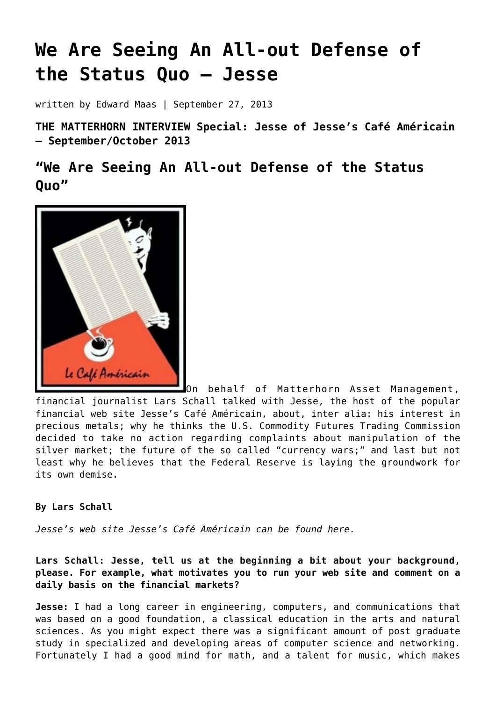# **[We Are Seeing An All-out Defense of](https://goldswitzerland.com/we-are-seeing-an-all-out-defense-of-the-status-quo-jesse/) [the Status Quo – Jesse](https://goldswitzerland.com/we-are-seeing-an-all-out-defense-of-the-status-quo-jesse/)**

written by Edward Maas | September 27, 2013

**THE MATTERHORN INTERVIEW Special: Jesse of Jesse's Café Américain – September/October 2013**

**"We Are Seeing An All-out Defense of the Status Quo"**



On behalf of Matterhorn Asset Management, financial journalist Lars Schall talked with Jesse, the host of the popular financial web site Jesse's Café Américain, about, inter alia: his interest in precious metals; why he thinks the U.S. Commodity Futures Trading Commission decided to take no action regarding complaints about manipulation of the silver market; the future of the so called "currency wars;" and last but not least why he believes that the Federal Reserve is laying the groundwork for its own demise.

## **By Lars Schall**

*Jesse's web site Jesse's Café Américain can be found [here.](http://jessescrossroadscafe.blogspot.de/)*

**Lars Schall: Jesse, tell us at the beginning a bit about your background, please. For example, what motivates you to run your web site and comment on a daily basis on the financial markets?**

**Jesse:** I had a long career in engineering, computers, and communications that was based on a good foundation, a classical education in the arts and natural sciences. As you might expect there was a significant amount of post graduate study in specialized and developing areas of computer science and networking. Fortunately I had a good mind for math, and a talent for music, which makes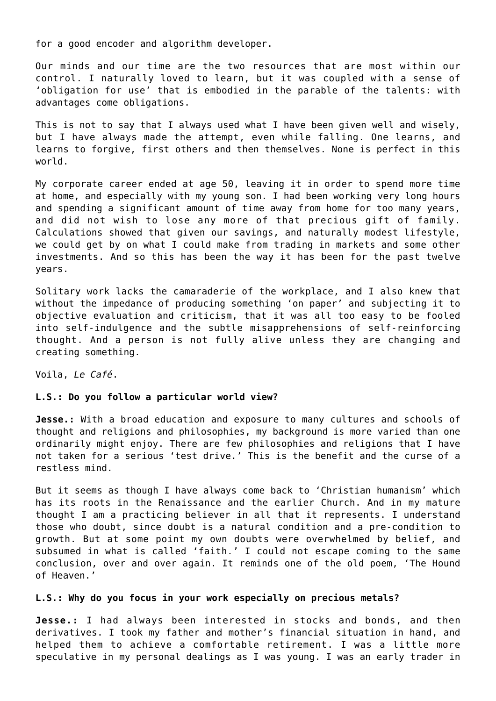for a good encoder and algorithm developer.

Our minds and our time are the two resources that are most within our control. I naturally loved to learn, but it was coupled with a sense of 'obligation for use' that is embodied in the parable of the talents: with advantages come obligations.

This is not to say that I always used what I have been given well and wisely, but I have always made the attempt, even while falling. One learns, and learns to forgive, first others and then themselves. None is perfect in this world.

My corporate career ended at age 50, leaving it in order to spend more time at home, and especially with my young son. I had been working very long hours and spending a significant amount of time away from home for too many years, and did not wish to lose any more of that precious gift of family. Calculations showed that given our savings, and naturally modest lifestyle, we could get by on what I could make from trading in markets and some other investments. And so this has been the way it has been for the past twelve years.

Solitary work lacks the camaraderie of the workplace, and I also knew that without the impedance of producing something 'on paper' and subjecting it to objective evaluation and criticism, that it was all too easy to be fooled into self-indulgence and the subtle misapprehensions of self-reinforcing thought. And a person is not fully alive unless they are changing and creating something.

Voila, *Le Café*.

### **L.S.: Do you follow a particular world view?**

**Jesse.:** With a broad education and exposure to many cultures and schools of thought and religions and philosophies, my background is more varied than one ordinarily might enjoy. There are few philosophies and religions that I have not taken for a serious 'test drive.' This is the benefit and the curse of a restless mind.

But it seems as though I have always come back to 'Christian humanism' which has its roots in the Renaissance and the earlier Church. And in my mature thought I am a practicing believer in all that it represents. I understand those who doubt, since doubt is a natural condition and a pre-condition to growth. But at some point my own doubts were overwhelmed by belief, and subsumed in what is called 'faith.' I could not escape coming to the same conclusion, over and over again. It reminds one of the old poem, 'The Hound of Heaven.'

#### **L.S.: Why do you focus in your work especially on precious metals?**

**Jesse.:** I had always been interested in stocks and bonds, and then derivatives. I took my father and mother's financial situation in hand, and helped them to achieve a comfortable retirement. I was a little more speculative in my personal dealings as I was young. I was an early trader in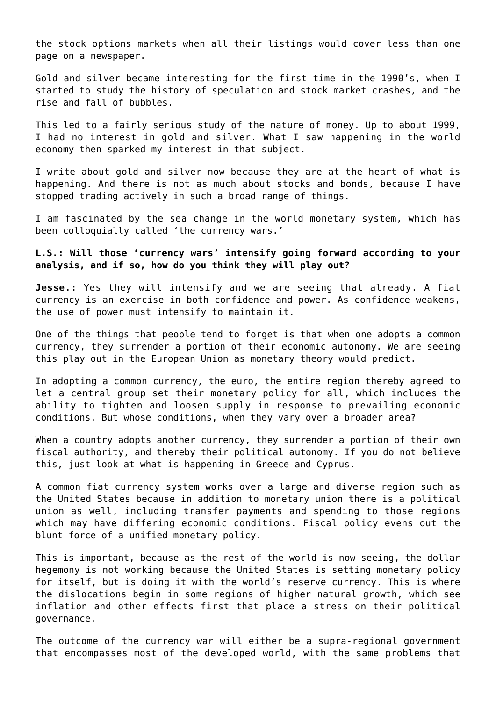the stock options markets when all their listings would cover less than one page on a newspaper.

Gold and silver became interesting for the first time in the 1990's, when I started to study the history of speculation and stock market crashes, and the rise and fall of bubbles.

This led to a fairly serious study of the nature of money. Up to about 1999, I had no interest in gold and silver. What I saw happening in the world economy then sparked my interest in that subject.

I write about gold and silver now because they are at the heart of what is happening. And there is not as much about stocks and bonds, because I have stopped trading actively in such a broad range of things.

I am fascinated by the sea change in the world monetary system, which has been colloquially called 'the currency wars.'

**L.S.: Will those 'currency wars' intensify going forward according to your analysis, and if so, how do you think they will play out?**

**Jesse.:** Yes they will intensify and we are seeing that already. A fiat currency is an exercise in both confidence and power. As confidence weakens, the use of power must intensify to maintain it.

One of the things that people tend to forget is that when one adopts a common currency, they surrender a portion of their economic autonomy. We are seeing this play out in the European Union as monetary theory would predict.

In adopting a common currency, the euro, the entire region thereby agreed to let a central group set their monetary policy for all, which includes the ability to tighten and loosen supply in response to prevailing economic conditions. But whose conditions, when they vary over a broader area?

When a country adopts another currency, they surrender a portion of their own fiscal authority, and thereby their political autonomy. If you do not believe this, just look at what is happening in Greece and Cyprus.

A common fiat currency system works over a large and diverse region such as the United States because in addition to monetary union there is a political union as well, including transfer payments and spending to those regions which may have differing economic conditions. Fiscal policy evens out the blunt force of a unified monetary policy.

This is important, because as the rest of the world is now seeing, the dollar hegemony is not working because the United States is setting monetary policy for itself, but is doing it with the world's reserve currency. This is where the dislocations begin in some regions of higher natural growth, which see inflation and other effects first that place a stress on their political governance.

The outcome of the currency war will either be a supra-regional government that encompasses most of the developed world, with the same problems that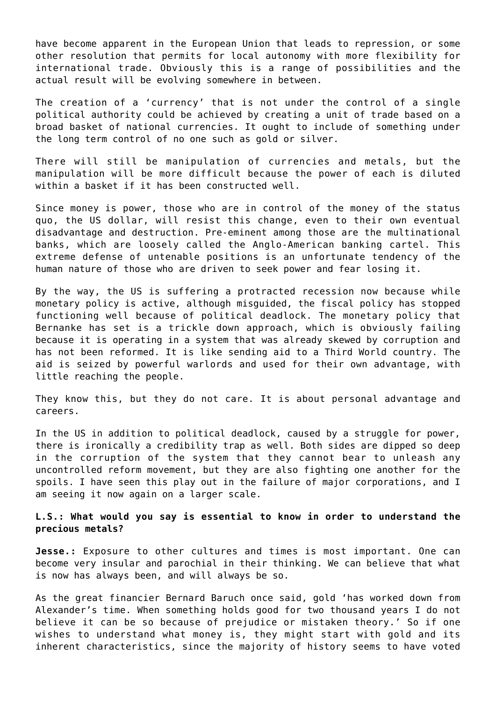have become apparent in the European Union that leads to repression, or some other resolution that permits for local autonomy with more flexibility for international trade. Obviously this is a range of possibilities and the actual result will be evolving somewhere in between.

The creation of a 'currency' that is not under the control of a single political authority could be achieved by creating a unit of trade based on a broad basket of national currencies. It ought to include of something under the long term control of no one such as gold or silver.

There will still be manipulation of currencies and metals, but the manipulation will be more difficult because the power of each is diluted within a basket if it has been constructed well.

Since money is power, those who are in control of the money of the status quo, the US dollar, will resist this change, even to their own eventual disadvantage and destruction. Pre-eminent among those are the multinational banks, which are loosely called the Anglo-American banking cartel. This extreme defense of untenable positions is an unfortunate tendency of the human nature of those who are driven to seek power and fear losing it.

By the way, the US is suffering a protracted recession now because while monetary policy is active, although misguided, the fiscal policy has stopped functioning well because of political deadlock. The monetary policy that Bernanke has set is a trickle down approach, which is obviously failing because it is operating in a system that was already skewed by corruption and has not been reformed. It is like sending aid to a Third World country. The aid is seized by powerful warlords and used for their own advantage, with little reaching the people.

They know this, but they do not care. It is about personal advantage and careers.

In the US in addition to political deadlock, caused by a struggle for power, there is ironically a credibility trap as well. Both sides are dipped so deep in the corruption of the system that they cannot bear to unleash any uncontrolled reform movement, but they are also fighting one another for the spoils. I have seen this play out in the failure of major corporations, and I am seeing it now again on a larger scale.

# **L.S.: What would you say is essential to know in order to understand the precious metals?**

**Jesse.:** Exposure to other cultures and times is most important. One can become very insular and parochial in their thinking. We can believe that what is now has always been, and will always be so.

As the great financier Bernard Baruch once said, gold 'has worked down from Alexander's time. When something holds good for two thousand years I do not believe it can be so because of prejudice or mistaken theory.' So if one wishes to understand what money is, they might start with gold and its inherent characteristics, since the majority of history seems to have voted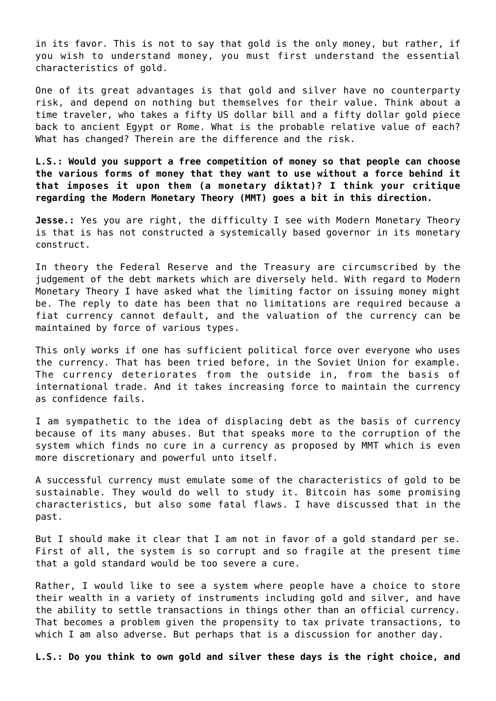in its favor. This is not to say that gold is the only money, but rather, if you wish to understand money, you must first understand the essential characteristics of gold.

One of its great advantages is that gold and silver have no counterparty risk, and depend on nothing but themselves for their value. Think about a time traveler, who takes a fifty US dollar bill and a fifty dollar gold piece back to ancient Egypt or Rome. What is the probable relative value of each? What has changed? Therein are the difference and the risk.

**L.S.: Would you support a free competition of money so that people can choose the various forms of money that they want to use without a force behind it that imposes it upon them (a monetary diktat)? I think your critique regarding the Modern Monetary Theory (MMT) goes a bit in this direction.**

**Jesse.:** Yes you are right, the difficulty I see with Modern Monetary Theory is that is has not constructed a systemically based governor in its monetary construct.

In theory the Federal Reserve and the Treasury are circumscribed by the judgement of the debt markets which are diversely held. With regard to Modern Monetary Theory I have asked what the limiting factor on issuing money might be. The reply to date has been that no limitations are required because a fiat currency cannot default, and the valuation of the currency can be maintained by force of various types.

This only works if one has sufficient political force over everyone who uses the currency. That has been tried before, in the Soviet Union for example. The currency deteriorates from the outside in, from the basis of international trade. And it takes increasing force to maintain the currency as confidence fails.

I am sympathetic to the idea of displacing debt as the basis of currency because of its many abuses. But that speaks more to the corruption of the system which finds no cure in a currency as proposed by MMT which is even more discretionary and powerful unto itself.

A successful currency must emulate some of the characteristics of gold to be sustainable. They would do well to study it. Bitcoin has some promising characteristics, but also some fatal flaws. I have discussed that in the past.

But I should make it clear that I am not in favor of a gold standard per se. First of all, the system is so corrupt and so fragile at the present time that a gold standard would be too severe a cure.

Rather, I would like to see a system where people have a choice to store their wealth in a variety of instruments including gold and silver, and have the ability to settle transactions in things other than an official currency. That becomes a problem given the propensity to tax private transactions, to which I am also adverse. But perhaps that is a discussion for another day.

**L.S.: Do you think to own gold and silver these days is the right choice, and**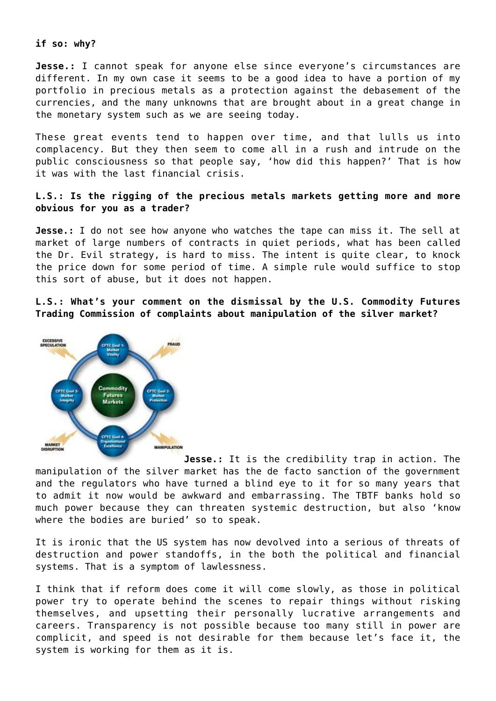### **if so: why?**

**Jesse.:** I cannot speak for anyone else since everyone's circumstances are different. In my own case it seems to be a good idea to have a portion of my portfolio in precious metals as a protection against the debasement of the currencies, and the many unknowns that are brought about in a great change in the monetary system such as we are seeing today.

These great events tend to happen over time, and that lulls us into complacency. But they then seem to come all in a rush and intrude on the public consciousness so that people say, 'how did this happen?' That is how it was with the last financial crisis.

# **L.S.: Is the rigging of the precious metals markets getting more and more obvious for you as a trader?**

**Jesse.:** I do not see how anyone who watches the tape can miss it. The sell at market of large numbers of contracts in quiet periods, what has been called the Dr. Evil strategy, is hard to miss. The intent is quite clear, to knock the price down for some period of time. A simple rule would suffice to stop this sort of abuse, but it does not happen.

**L.S.: What's your comment on the dismissal by the U.S. Commodity Futures Trading Commission of complaints about manipulation of the silver market?**



**Jesse.:** It is the credibility trap in action. The manipulation of the silver market has the de facto sanction of the government and the regulators who have turned a blind eye to it for so many years that to admit it now would be awkward and embarrassing. The TBTF banks hold so much power because they can threaten systemic destruction, but also 'know where the bodies are buried' so to speak.

It is ironic that the US system has now devolved into a serious of threats of destruction and power standoffs, in the both the political and financial systems. That is a symptom of lawlessness.

I think that if reform does come it will come slowly, as those in political power try to operate behind the scenes to repair things without risking themselves, and upsetting their personally lucrative arrangements and careers. Transparency is not possible because too many still in power are complicit, and speed is not desirable for them because let's face it, the system is working for them as it is.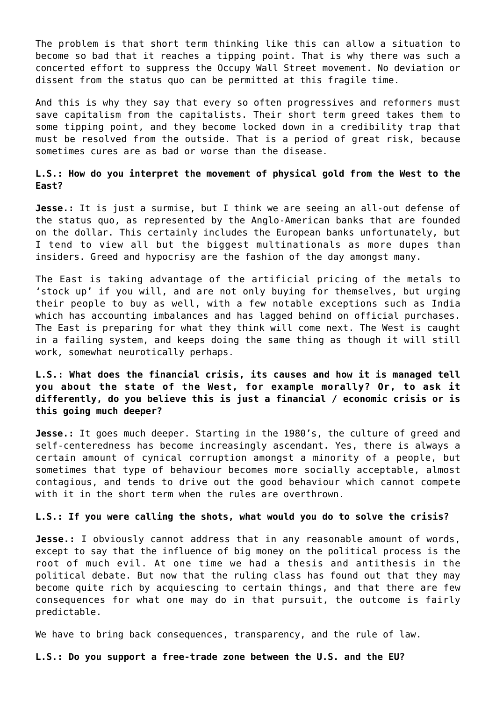The problem is that short term thinking like this can allow a situation to become so bad that it reaches a tipping point. That is why there was such a concerted effort to suppress the Occupy Wall Street movement. No deviation or dissent from the status quo can be permitted at this fragile time.

And this is why they say that every so often progressives and reformers must save capitalism from the capitalists. Their short term greed takes them to some tipping point, and they become locked down in a credibility trap that must be resolved from the outside. That is a period of great risk, because sometimes cures are as bad or worse than the disease.

**L.S.: How do you interpret the movement of physical gold from the West to the East?**

**Jesse.:** It is just a surmise, but I think we are seeing an all-out defense of the status quo, as represented by the Anglo-American banks that are founded on the dollar. This certainly includes the European banks unfortunately, but I tend to view all but the biggest multinationals as more dupes than insiders. Greed and hypocrisy are the fashion of the day amongst many.

The East is taking advantage of the artificial pricing of the metals to 'stock up' if you will, and are not only buying for themselves, but urging their people to buy as well, with a few notable exceptions such as India which has accounting imbalances and has lagged behind on official purchases. The East is preparing for what they think will come next. The West is caught in a failing system, and keeps doing the same thing as though it will still work, somewhat neurotically perhaps.

**L.S.: What does the financial crisis, its causes and how it is managed tell you about the state of the West, for example morally? Or, to ask it differently, do you believe this is just a financial / economic crisis or is this going much deeper?**

**Jesse.:** It goes much deeper. Starting in the 1980's, the culture of greed and self-centeredness has become increasingly ascendant. Yes, there is always a certain amount of cynical corruption amongst a minority of a people, but sometimes that type of behaviour becomes more socially acceptable, almost contagious, and tends to drive out the good behaviour which cannot compete with it in the short term when the rules are overthrown.

## **L.S.: If you were calling the shots, what would you do to solve the crisis?**

**Jesse.:** I obviously cannot address that in any reasonable amount of words, except to say that the influence of big money on the political process is the root of much evil. At one time we had a thesis and antithesis in the political debate. But now that the ruling class has found out that they may become quite rich by acquiescing to certain things, and that there are few consequences for what one may do in that pursuit, the outcome is fairly predictable.

We have to bring back consequences, transparency, and the rule of law.

**L.S.: Do you support a free-trade zone between the U.S. and the EU?**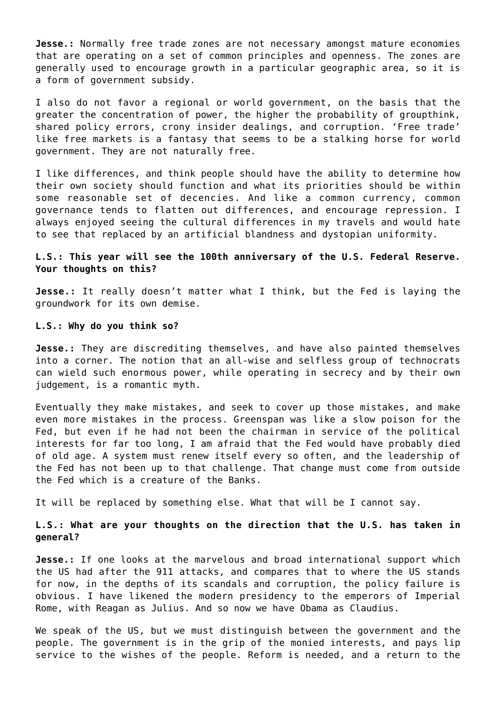**Jesse.:** Normally free trade zones are not necessary amongst mature economies that are operating on a set of common principles and openness. The zones are generally used to encourage growth in a particular geographic area, so it is a form of government subsidy.

I also do not favor a regional or world government, on the basis that the greater the concentration of power, the higher the probability of groupthink, shared policy errors, crony insider dealings, and corruption. 'Free trade' like free markets is a fantasy that seems to be a stalking horse for world government. They are not naturally free.

I like differences, and think people should have the ability to determine how their own society should function and what its priorities should be within some reasonable set of decencies. And like a common currency, common governance tends to flatten out differences, and encourage repression. I always enjoyed seeing the cultural differences in my travels and would hate to see that replaced by an artificial blandness and dystopian uniformity.

## **L.S.: This year will see the 100th anniversary of the U.S. Federal Reserve. Your thoughts on this?**

**Jesse.:** It really doesn't matter what I think, but the Fed is laying the groundwork for its own demise.

## **L.S.: Why do you think so?**

**Jesse.:** They are discrediting themselves, and have also painted themselves into a corner. The notion that an all-wise and selfless group of technocrats can wield such enormous power, while operating in secrecy and by their own judgement, is a romantic myth.

Eventually they make mistakes, and seek to cover up those mistakes, and make even more mistakes in the process. Greenspan was like a slow poison for the Fed, but even if he had not been the chairman in service of the political interests for far too long, I am afraid that the Fed would have probably died of old age. A system must renew itself every so often, and the leadership of the Fed has not been up to that challenge. That change must come from outside the Fed which is a creature of the Banks.

It will be replaced by something else. What that will be I cannot say.

# **L.S.: What are your thoughts on the direction that the U.S. has taken in general?**

**Jesse.:** If one looks at the marvelous and broad international support which the US had after the 911 attacks, and compares that to where the US stands for now, in the depths of its scandals and corruption, the policy failure is obvious. I have likened the modern presidency to the emperors of Imperial Rome, with Reagan as Julius. And so now we have Obama as Claudius.

We speak of the US, but we must distinguish between the government and the people. The government is in the grip of the monied interests, and pays lip service to the wishes of the people. Reform is needed, and a return to the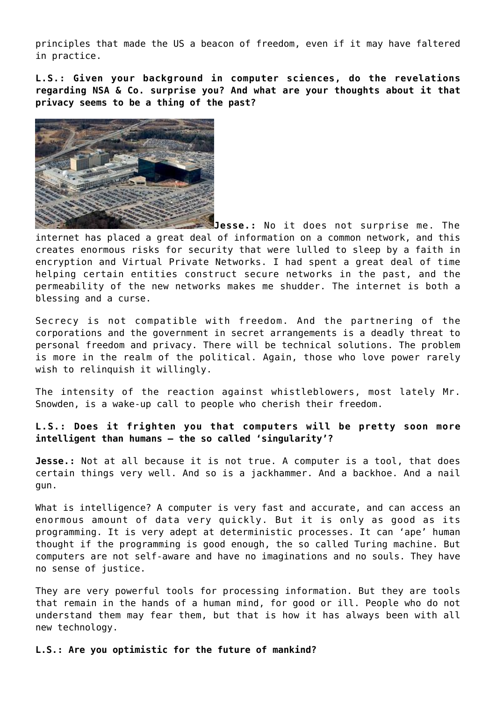principles that made the US a beacon of freedom, even if it may have faltered in practice.

**L.S.: Given your background in computer sciences, do the revelations regarding NSA & Co. surprise you? And what are your thoughts about it that privacy seems to be a thing of the past?**



**Jesse.:** No it does not surprise me. The internet has placed a great deal of information on a common network, and this creates enormous risks for security that were lulled to sleep by a faith in encryption and Virtual Private Networks. I had spent a great deal of time helping certain entities construct secure networks in the past, and the permeability of the new networks makes me shudder. The internet is both a blessing and a curse.

Secrecy is not compatible with freedom. And the partnering of the corporations and the government in secret arrangements is a deadly threat to personal freedom and privacy. There will be technical solutions. The problem is more in the realm of the political. Again, those who love power rarely wish to relinquish it willingly.

The intensity of the reaction against whistleblowers, most lately Mr. Snowden, is a wake-up call to people who cherish their freedom.

**L.S.: Does it frighten you that computers will be pretty soon more intelligent than humans – the so called 'singularity'?**

**Jesse.:** Not at all because it is not true. A computer is a tool, that does certain things very well. And so is a jackhammer. And a backhoe. And a nail gun.

What is intelligence? A computer is very fast and accurate, and can access an enormous amount of data very quickly. But it is only as good as its programming. It is very adept at deterministic processes. It can 'ape' human thought if the programming is good enough, the so called Turing machine. But computers are not self-aware and have no imaginations and no souls. They have no sense of justice.

They are very powerful tools for processing information. But they are tools that remain in the hands of a human mind, for good or ill. People who do not understand them may fear them, but that is how it has always been with all new technology.

**L.S.: Are you optimistic for the future of mankind?**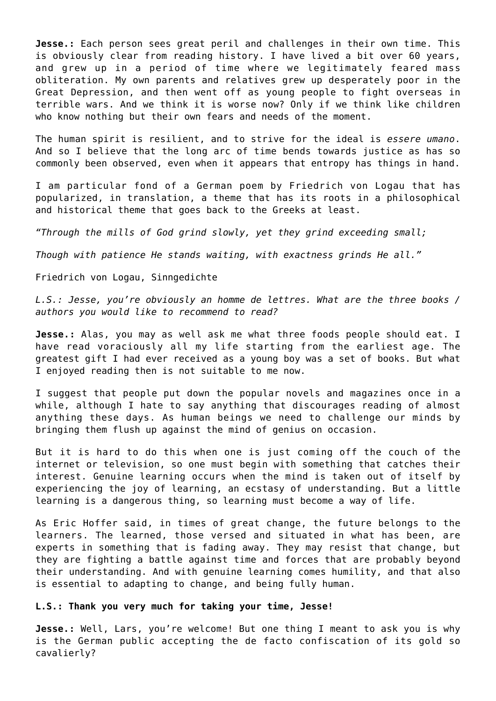**Jesse.:** Each person sees great peril and challenges in their own time. This is obviously clear from reading history. I have lived a bit over 60 years, and grew up in a period of time where we legitimately feared mass obliteration. My own parents and relatives grew up desperately poor in the Great Depression, and then went off as young people to fight overseas in terrible wars. And we think it is worse now? Only if we think like children who know nothing but their own fears and needs of the moment.

The human spirit is resilient, and to strive for the ideal is *essere umano*. And so I believe that the long arc of time bends towards justice as has so commonly been observed, even when it appears that entropy has things in hand.

I am particular fond of a German poem by Friedrich von Logau that has popularized, in translation, a theme that has its roots in a philosophical and historical theme that goes back to the Greeks at least.

*"Through the mills of God grind slowly, yet they grind exceeding small;*

*Though with patience He stands waiting, with exactness grinds He all."*

Friedrich von Logau, Sinngedichte

*L.S.: Jesse, you're obviously an homme de lettres. What are the three books / authors you would like to recommend to read?*

**Jesse.:** Alas, you may as well ask me what three foods people should eat. I have read voraciously all my life starting from the earliest age. The greatest gift I had ever received as a young boy was a set of books. But what I enjoyed reading then is not suitable to me now.

I suggest that people put down the popular novels and magazines once in a while, although I hate to say anything that discourages reading of almost anything these days. As human beings we need to challenge our minds by bringing them flush up against the mind of genius on occasion.

But it is hard to do this when one is just coming off the couch of the internet or television, so one must begin with something that catches their interest. Genuine learning occurs when the mind is taken out of itself by experiencing the joy of learning, an ecstasy of understanding. But a little learning is a dangerous thing, so learning must become a way of life.

As Eric Hoffer said, in times of great change, the future belongs to the learners. The learned, those versed and situated in what has been, are experts in something that is fading away. They may resist that change, but they are fighting a battle against time and forces that are probably beyond their understanding. And with genuine learning comes humility, and that also is essential to adapting to change, and being fully human.

# **L.S.: Thank you very much for taking your time, Jesse!**

**Jesse.:** Well, Lars, you're welcome! But one thing I meant to ask you is why is the German public accepting the de facto confiscation of its gold so cavalierly?